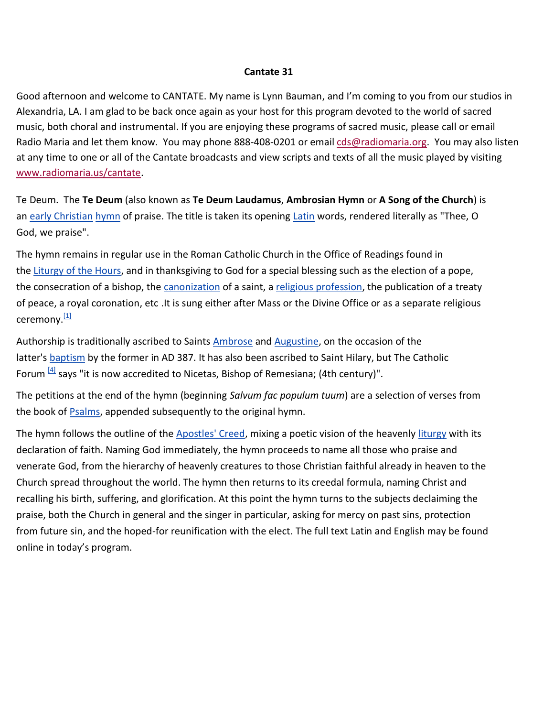#### **Cantate 31**

Good afternoon and welcome to CANTATE. My name is Lynn Bauman, and I'm coming to you from our studios in Alexandria, LA. I am glad to be back once again as your host for this program devoted to the world of sacred music, both choral and instrumental. If you are enjoying these programs of sacred music, please call or email Radio Maria and let them know. You may phone 888-408-0201 or email [cds@radiomaria.org.](mailto:cds@radiomaria.org) You may also listen at any time to one or all of the Cantate broadcasts and view scripts and texts of all the music played by visiting [www.radiomaria.us/cantate.](http://www.radiomaria.us/cantate)

Te Deum. The **Te Deum** (also known as **Te Deum Laudamus**, **Ambrosian Hymn** or **A Song of the Church**) is an [early Christian](http://en.wikipedia.org/wiki/Early_Christian) [hymn](http://en.wikipedia.org/wiki/Hymn) of praise. The title is taken its opening [Latin](http://en.wikipedia.org/wiki/Latin) words, rendered literally as "Thee, O God, we praise".

The hymn remains in regular use in the Roman Catholic Church in the Office of Readings found in the [Liturgy of the Hours,](http://en.wikipedia.org/wiki/Liturgy_of_the_Hours) and in thanksgiving to God for a special blessing such as the election of a pope, the consecration of a bishop, the [canonization](http://en.wikipedia.org/wiki/Canonization) of a saint, a [religious profession,](http://en.wikipedia.org/wiki/Profession_(religious)) the publication of a treaty of peace, a royal coronation, etc .It is sung either after Mass or the Divine Office or as a separate religious ceremony.<sup>[\[1\]](http://en.wikipedia.org/wiki/Te_Deum#cite_note-0)</sup>

Authorship is traditionally ascribed to Saints **[Ambrose](http://en.wikipedia.org/wiki/Ambrose) and Augustine**, on the occasion of the latter's **[baptism](http://en.wikipedia.org/wiki/Baptism)** by the former in AD 387. It has also been ascribed to Saint Hilary, but The Catholic Forum  $^{[4]}$  $^{[4]}$  $^{[4]}$  says "it is now accredited to Nicetas, Bishop of Remesiana; (4th century)".

The petitions at the end of the hymn (beginning *Salvum fac populum tuum*) are a selection of verses from the book of **Psalms**, appended subsequently to the original hymn.

The hymn follows the outline of the [Apostles' Creed,](http://en.wikipedia.org/wiki/Apostles%27_Creed) mixing a poetic vision of the heavenly [liturgy](http://en.wikipedia.org/wiki/Liturgy) with its declaration of faith. Naming God immediately, the hymn proceeds to name all those who praise and venerate God, from the hierarchy of heavenly creatures to those Christian faithful already in heaven to the Church spread throughout the world. The hymn then returns to its creedal formula, naming Christ and recalling his birth, suffering, and glorification. At this point the hymn turns to the subjects declaiming the praise, both the Church in general and the singer in particular, asking for mercy on past sins, protection from future sin, and the hoped-for reunification with the elect. The full text Latin and English may be found online in today's program.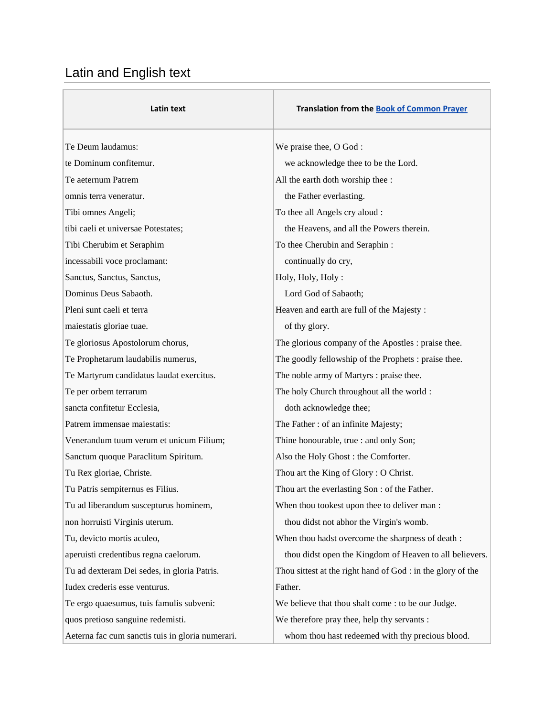# Latin and English text

| Latin text                                       | <b>Translation from the Book of Common Prayer</b>           |
|--------------------------------------------------|-------------------------------------------------------------|
| Te Deum laudamus:                                | We praise thee, O God:                                      |
| te Dominum confitemur.                           | we acknowledge thee to be the Lord.                         |
| Te aeternum Patrem                               | All the earth doth worship thee :                           |
| omnis terra veneratur.                           | the Father everlasting.                                     |
| Tibi omnes Angeli;                               | To thee all Angels cry aloud :                              |
| tibi caeli et universae Potestates;              | the Heavens, and all the Powers therein.                    |
| Tibi Cherubim et Seraphim                        | To thee Cherubin and Seraphin:                              |
| incessabili voce proclamant:                     | continually do cry,                                         |
| Sanctus, Sanctus, Sanctus,                       | Holy, Holy, Holy:                                           |
| Dominus Deus Sabaoth.                            | Lord God of Sabaoth;                                        |
| Pleni sunt caeli et terra                        | Heaven and earth are full of the Majesty :                  |
| maiestatis gloriae tuae.                         | of thy glory.                                               |
| Te gloriosus Apostolorum chorus,                 | The glorious company of the Apostles : praise thee.         |
| Te Prophetarum laudabilis numerus,               | The goodly fellowship of the Prophets : praise thee.        |
| Te Martyrum candidatus laudat exercitus.         | The noble army of Martyrs : praise thee.                    |
| Te per orbem terrarum                            | The holy Church throughout all the world :                  |
| sancta confitetur Ecclesia,                      | doth acknowledge thee;                                      |
| Patrem immensae maiestatis:                      | The Father: of an infinite Majesty;                         |
| Venerandum tuum verum et unicum Filium;          | Thine honourable, true : and only Son;                      |
| Sanctum quoque Paraclitum Spiritum.              | Also the Holy Ghost: the Comforter.                         |
| Tu Rex gloriae, Christe.                         | Thou art the King of Glory: O Christ.                       |
| Tu Patris sempiternus es Filius.                 | Thou art the everlasting Son : of the Father.               |
| Tu ad liberandum suscepturus hominem,            | When thou tookest upon thee to deliver man :                |
| non horruisti Virginis uterum.                   | thou didst not abhor the Virgin's womb.                     |
| Tu, devicto mortis aculeo,                       | When thou hadst overcome the sharpness of death :           |
| aperuisti credentibus regna caelorum.            | thou didst open the Kingdom of Heaven to all believers.     |
| Tu ad dexteram Dei sedes, in gloria Patris.      | Thou sittest at the right hand of God : in the glory of the |
| Iudex crederis esse venturus.                    | Father.                                                     |
| Te ergo quaesumus, tuis famulis subveni:         | We believe that thou shalt come : to be our Judge.          |
| quos pretioso sanguine redemisti.                | We therefore pray thee, help thy servants :                 |
| Aeterna fac cum sanctis tuis in gloria numerari. | whom thou hast redeemed with thy precious blood.            |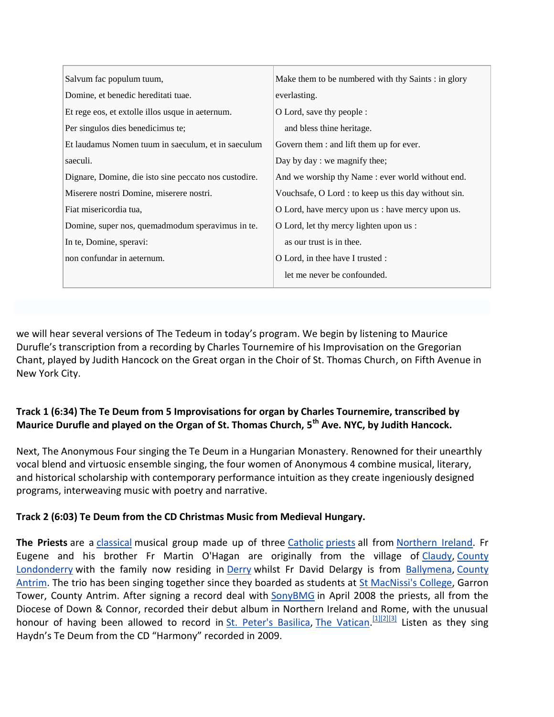| Salvum fac populum tuum,                              | Make them to be numbered with thy Saints: in glory   |
|-------------------------------------------------------|------------------------------------------------------|
| Domine, et benedic hereditati tuae.                   | everlasting.                                         |
| Et rege eos, et extolle illos usque in aeternum.      | O Lord, save thy people :                            |
| Per singulos dies benedicimus te;                     | and bless thine heritage.                            |
| Et laudamus Nomen tuum in saeculum, et in saeculum    | Govern them : and lift them up for ever.             |
| saeculi.                                              | Day by day : we magnify thee;                        |
| Dignare, Domine, die isto sine peccato nos custodire. | And we worship thy Name : ever world without end.    |
| Miserere nostri Domine, miserere nostri.              | Vouchsafe, O Lord : to keep us this day without sin. |
| Fiat misericordia tua,                                | O Lord, have mercy upon us : have mercy upon us.     |
| Domine, super nos, quemadmodum speravimus in te.      | O Lord, let thy mercy lighten upon us :              |
| In te, Domine, speravi:                               | as our trust is in thee.                             |
| non confundar in aeternum.                            | O Lord, in thee have I trusted :                     |
|                                                       | let me never be confounded.                          |

we will hear several versions of The Tedeum in today's program. We begin by listening to Maurice Durufle's transcription from a recording by Charles Tournemire of his Improvisation on the Gregorian Chant, played by Judith Hancock on the Great organ in the Choir of St. Thomas Church, on Fifth Avenue in New York City.

## **Track 1 (6:34) The Te Deum from 5 Improvisations for organ by Charles Tournemire, transcribed by Maurice Durufle and played on the Organ of St. Thomas Church, 5th Ave. NYC, by Judith Hancock.**

Next, The Anonymous Four singing the Te Deum in a Hungarian Monastery. Renowned for their unearthly vocal blend and virtuosic ensemble singing, the four women of Anonymous 4 combine musical, literary, and historical scholarship with contemporary performance intuition as they create ingeniously designed programs, interweaving music with poetry and narrative.

## **Track 2 (6:03) Te Deum from the CD Christmas Music from Medieval Hungary.**

**The Priests** are a [classical](http://en.wikipedia.org/wiki/Classical_music) musical group made up of three [Catholic](http://en.wikipedia.org/wiki/Catholic) [priests](http://en.wikipedia.org/wiki/Priests) all from [Northern Ireland.](http://en.wikipedia.org/wiki/Northern_Ireland) Fr Eugene and his brother Fr Martin O'Hagan are originally from the village of [Claudy,](http://en.wikipedia.org/wiki/Claudy) [County](http://en.wikipedia.org/wiki/County_Londonderry)  [Londonderry](http://en.wikipedia.org/wiki/County_Londonderry) with the family now residing in [Derry](http://en.wikipedia.org/wiki/Derry) whilst Fr David Delargy is from [Ballymena,](http://en.wikipedia.org/wiki/Ballymena) [County](http://en.wikipedia.org/wiki/County_Antrim)  [Antrim.](http://en.wikipedia.org/wiki/County_Antrim) The trio has been singing together since they boarded as students at [St MacNissi's College,](http://en.wikipedia.org/wiki/St_MacNissi%27s_College) Garron Tower, County Antrim. After signing a record deal with [SonyBMG](http://en.wikipedia.org/wiki/SonyBMG) in April 2008 the priests, all from the Diocese of Down & Connor, recorded their debut album in Northern Ireland and Rome, with the unusual honour of having been allowed to record in [St. Peter's Basilica,](http://en.wikipedia.org/wiki/St._Peter%27s_Basilica) [The Vatican.](http://en.wikipedia.org/wiki/Vatican_City)<sup>[\[1\]\[2\]](http://en.wikipedia.org/wiki/The_Priests#cite_note-three-0)[\[3\]](http://en.wikipedia.org/wiki/The_Priests#cite_note-two-2)</sup> Listen as they sing Haydn's Te Deum from the CD "Harmony" recorded in 2009.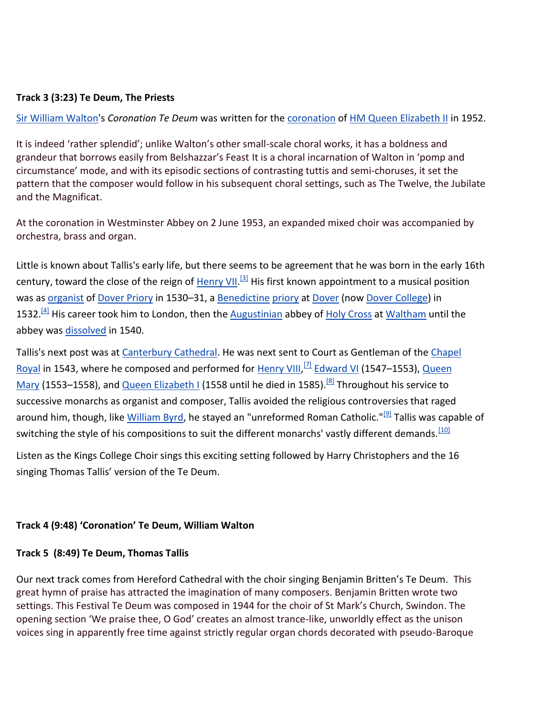### **Track 3 (3:23) Te Deum, The Priests**

[Sir William Walton'](http://en.wikipedia.org/wiki/William_Walton)s *Coronation Te Deum* was written for the [coronation](http://en.wikipedia.org/wiki/Coronation) of [HM Queen Elizabeth II](http://en.wikipedia.org/wiki/Elizabeth_II_of_the_United_Kingdom) in 1952.

It is indeed 'rather splendid'; unlike Walton's other small-scale choral works, it has a boldness and grandeur that borrows easily from Belshazzar's Feast It is a choral incarnation of Walton in 'pomp and circumstance' mode, and with its episodic sections of contrasting tuttis and semi-choruses, it set the pattern that the composer would follow in his subsequent choral settings, such as The Twelve, the Jubilate and the Magnificat.

At the coronation in Westminster Abbey on 2 June 1953, an expanded mixed choir was accompanied by orchestra, brass and organ.

Little is known about Tallis's early life, but there seems to be agreement that he was born in the early 16th century, toward the close of the reign of [Henry VII.](http://en.wikipedia.org/wiki/Henry_VII_of_England)<sup>[\[3\]](http://en.wikipedia.org/wiki/Thomas_Tallis#cite_note-2)</sup> His first known appointment to a musical position was as [organist](http://en.wikipedia.org/wiki/Organ_(music)) of [Dover Priory](http://en.wikipedia.org/wiki/Dover_Priory) in 1530–31, a [Benedictine](http://en.wikipedia.org/wiki/Benedictine) [priory](http://en.wikipedia.org/wiki/Priory) at [Dover](http://en.wikipedia.org/wiki/Dover) (now [Dover College\)](http://en.wikipedia.org/wiki/Dover_College) in 1532.<sup>[\[4\]](http://en.wikipedia.org/wiki/Thomas_Tallis#cite_note-3)</sup> His career took him to London, then the **[Augustinian](http://en.wikipedia.org/wiki/Augustinian)** abbey of [Holy Cross](http://en.wikipedia.org/wiki/Christian_cross) at [Waltham](http://en.wikipedia.org/wiki/Waltham_Abbey_(abbey)) until the abbey was [dissolved](http://en.wikipedia.org/wiki/Dissolution_of_the_Monasteries) in 1540.

Tallis's next post was at [Canterbury Cathedral.](http://en.wikipedia.org/wiki/Canterbury_Cathedral) He was next sent to Court as Gentleman of the Chapel [Royal](http://en.wikipedia.org/wiki/Chapel_Royal) in 1543, where he composed and performed for [Henry VIII,](http://en.wikipedia.org/wiki/Henry_VIII_of_England) <sup>[\[7\]](http://en.wikipedia.org/wiki/Thomas_Tallis#cite_note-6)</sup> [Edward VI](http://en.wikipedia.org/wiki/Edward_VI_of_England) (1547–1553), Queen [Mary](http://en.wikipedia.org/wiki/Mary_I_of_England) (1553–1558), and [Queen Elizabeth I](http://en.wikipedia.org/wiki/Elizabeth_I_of_England) (1558 until he died in 1585).<sup>[\[8\]](http://en.wikipedia.org/wiki/Thomas_Tallis#cite_note-7)</sup> Throughout his service to successive monarchs as organist and composer, Tallis avoided the religious controversies that raged around him, though, like [William Byrd,](http://en.wikipedia.org/wiki/William_Byrd) he stayed an "unreformed Roman Catholic."<sup>[\[9\]](http://en.wikipedia.org/wiki/Thomas_Tallis#cite_note-8)</sup> Tallis was capable of switching the style of his compositions to suit the different monarchs' vastly different demands.<sup>[\[10\]](http://en.wikipedia.org/wiki/Thomas_Tallis#cite_note-9)</sup>

Listen as the Kings College Choir sings this exciting setting followed by Harry Christophers and the 16 singing Thomas Tallis' version of the Te Deum.

#### **Track 4 (9:48) 'Coronation' Te Deum, William Walton**

#### **Track 5 (8:49) Te Deum, Thomas Tallis**

Our next track comes from Hereford Cathedral with the choir singing Benjamin Britten's Te Deum. This great hymn of praise has attracted the imagination of many composers. Benjamin Britten wrote two settings. This Festival Te Deum was composed in 1944 for the choir of St Mark's Church, Swindon. The opening section 'We praise thee, O God' creates an almost trance-like, unworldly effect as the unison voices sing in apparently free time against strictly regular organ chords decorated with pseudo-Baroque